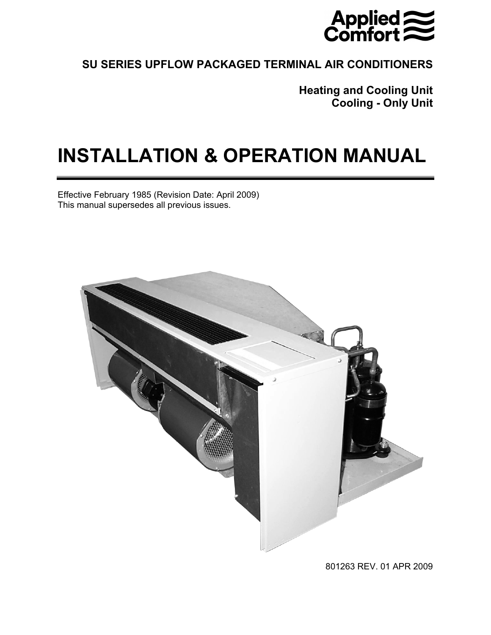

# **SU SERIES UPFLOW PACKAGED TERMINAL AIR CONDITIONERS**

**Heating and Cooling Unit Cooling - Only Unit** 

# **INSTALLATION & OPERATION MANUAL**

Effective February 1985 (Revision Date: April 2009) This manual supersedes all previous issues.



801263 REV. 01 APR 2009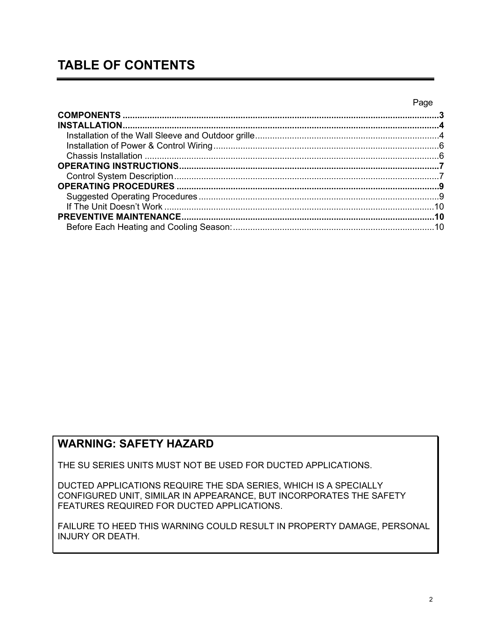# **TABLE OF CONTENTS**

#### Page

## **WARNING: SAFETY HAZARD**

THE SU SERIES UNITS MUST NOT BE USED FOR DUCTED APPLICATIONS.

DUCTED APPLICATIONS REQUIRE THE SDA SERIES, WHICH IS A SPECIALLY CONFIGURED UNIT, SIMILAR IN APPEARANCE, BUT INCORPORATES THE SAFETY FEATURES REQUIRED FOR DUCTED APPLICATIONS.

FAILURE TO HEED THIS WARNING COULD RESULT IN PROPERTY DAMAGE, PERSONAL INJURY OR DEATH.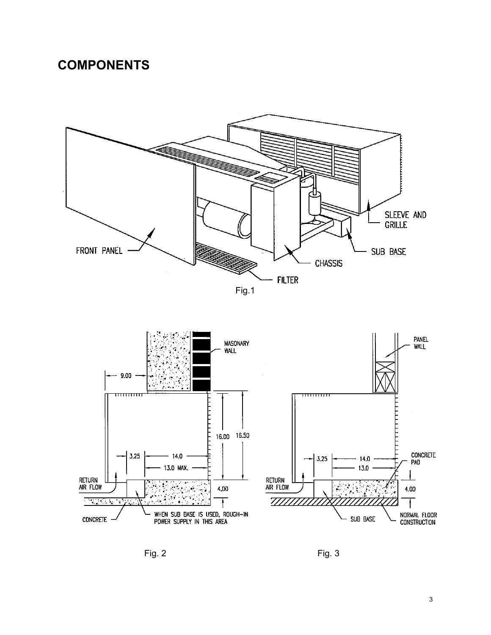# **COMPONENTS**

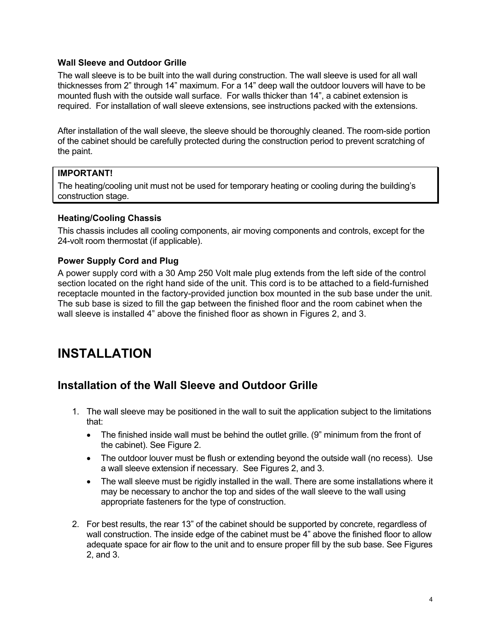#### **Wall Sleeve and Outdoor Grille**

The wall sleeve is to be built into the wall during construction. The wall sleeve is used for all wall thicknesses from 2" through 14" maximum. For a 14" deep wall the outdoor louvers will have to be mounted flush with the outside wall surface. For walls thicker than 14", a cabinet extension is required. For installation of wall sleeve extensions, see instructions packed with the extensions.

After installation of the wall sleeve, the sleeve should be thoroughly cleaned. The room-side portion of the cabinet should be carefully protected during the construction period to prevent scratching of the paint.

#### **IMPORTANT!**

The heating/cooling unit must not be used for temporary heating or cooling during the building's construction stage.

#### **Heating/Cooling Chassis**

This chassis includes all cooling components, air moving components and controls, except for the 24-volt room thermostat (if applicable).

#### **Power Supply Cord and Plug**

A power supply cord with a 30 Amp 250 Volt male plug extends from the left side of the control section located on the right hand side of the unit. This cord is to be attached to a field-furnished receptacle mounted in the factory-provided junction box mounted in the sub base under the unit. The sub base is sized to fill the gap between the finished floor and the room cabinet when the wall sleeve is installed 4" above the finished floor as shown in Figures 2, and 3.

# **INSTALLATION**

### **Installation of the Wall Sleeve and Outdoor Grille**

- 1. The wall sleeve may be positioned in the wall to suit the application subject to the limitations that:
	- The finished inside wall must be behind the outlet grille. (9" minimum from the front of the cabinet). See Figure 2.
	- The outdoor louver must be flush or extending beyond the outside wall (no recess). Use a wall sleeve extension if necessary. See Figures 2, and 3.
	- The wall sleeve must be rigidly installed in the wall. There are some installations where it may be necessary to anchor the top and sides of the wall sleeve to the wall using appropriate fasteners for the type of construction.
- 2. For best results, the rear 13" of the cabinet should be supported by concrete, regardless of wall construction. The inside edge of the cabinet must be 4" above the finished floor to allow adequate space for air flow to the unit and to ensure proper fill by the sub base. See Figures 2, and 3.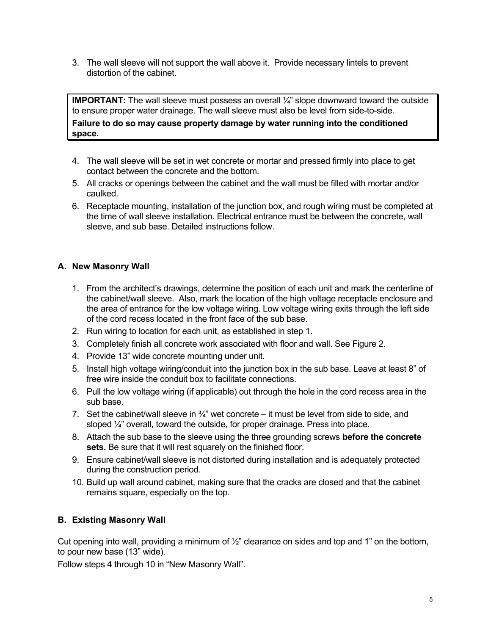3. The wall sleeve will not support the wall above it. Provide necessary lintels to prevent distortion of the cabinet.

**IMPORTANT:** The wall sleeve must possess an overall  $\frac{1}{4}$  slope downward toward the outside to ensure proper water drainage. The wall sleeve must also be level from side-to-side.

**Failure to do so may cause property damage by water running into the conditioned space.** 

- 4. The wall sleeve will be set in wet concrete or mortar and pressed firmly into place to get contact between the concrete and the bottom.
- 5. All cracks or openings between the cabinet and the wall must be filled with mortar and/or caulked.
- 6. Receptacle mounting, installation of the junction box, and rough wiring must be completed at the time of wall sleeve installation. Electrical entrance must be between the concrete, wall sleeve, and sub base. Detailed instructions follow.

#### **A. New Masonry Wall**

- 1. From the architect's drawings, determine the position of each unit and mark the centerline of the cabinet/wall sleeve. Also, mark the location of the high voltage receptacle enclosure and the area of entrance for the low voltage wiring. Low voltage wiring exits through the left side of the cord recess located in the front face of the sub base.
- 2. Run wiring to location for each unit, as established in step 1.
- 3. Completely finish all concrete work associated with floor and wall. See Figure 2.
- 4. Provide 13" wide concrete mounting under unit.
- 5. Install high voltage wiring/conduit into the junction box in the sub base. Leave at least 8" of free wire inside the conduit box to facilitate connections.
- 6. Pull the low voltage wiring (if applicable) out through the hole in the cord recess area in the sub base.
- 7. Set the cabinet/wall sleeve in  $\frac{3}{4}$ " wet concrete it must be level from side to side, and sloped  $\frac{1}{4}$  overall, toward the outside, for proper drainage. Press into place.
- 8. Attach the sub base to the sleeve using the three grounding screws **before the concrete sets.** Be sure that it will rest squarely on the finished floor.
- 9. Ensure cabinet/wall sleeve is not distorted during installation and is adequately protected during the construction period.
- 10. Build up wall around cabinet, making sure that the cracks are closed and that the cabinet remains square, especially on the top.

#### **B. Existing Masonry Wall**

Cut opening into wall, providing a minimum of  $\frac{1}{2}$ " clearance on sides and top and 1" on the bottom, to pour new base (13" wide).

Follow steps 4 through 10 in "New Masonry Wall".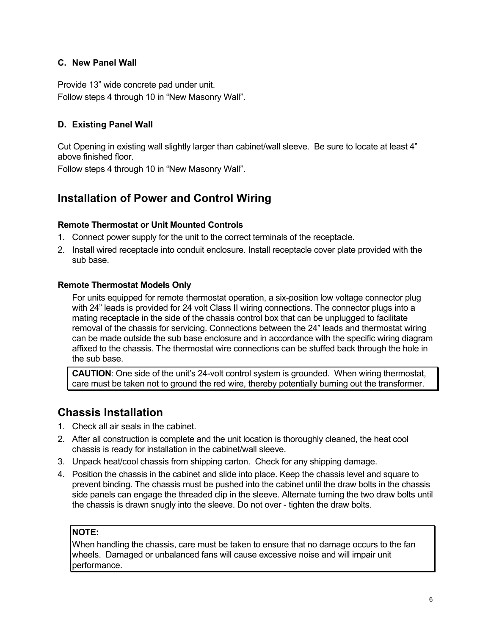#### **C. New Panel Wall**

Provide 13" wide concrete pad under unit. Follow steps 4 through 10 in "New Masonry Wall".

#### **D. Existing Panel Wall**

Cut Opening in existing wall slightly larger than cabinet/wall sleeve. Be sure to locate at least 4" above finished floor.

Follow steps 4 through 10 in "New Masonry Wall".

## **Installation of Power and Control Wiring**

#### **Remote Thermostat or Unit Mounted Controls**

- 1. Connect power supply for the unit to the correct terminals of the receptacle.
- 2. Install wired receptacle into conduit enclosure. Install receptacle cover plate provided with the sub base.

#### **Remote Thermostat Models Only**

For units equipped for remote thermostat operation, a six-position low voltage connector plug with 24" leads is provided for 24 volt Class II wiring connections. The connector plugs into a mating receptacle in the side of the chassis control box that can be unplugged to facilitate removal of the chassis for servicing. Connections between the 24" leads and thermostat wiring can be made outside the sub base enclosure and in accordance with the specific wiring diagram affixed to the chassis. The thermostat wire connections can be stuffed back through the hole in the sub base.

**CAUTION**: One side of the unit's 24-volt control system is grounded. When wiring thermostat, care must be taken not to ground the red wire, thereby potentially burning out the transformer.

### **Chassis Installation**

- 1. Check all air seals in the cabinet.
- 2. After all construction is complete and the unit location is thoroughly cleaned, the heat cool chassis is ready for installation in the cabinet/wall sleeve.
- 3. Unpack heat/cool chassis from shipping carton. Check for any shipping damage.
- 4. Position the chassis in the cabinet and slide into place. Keep the chassis level and square to prevent binding. The chassis must be pushed into the cabinet until the draw bolts in the chassis side panels can engage the threaded clip in the sleeve. Alternate turning the two draw bolts until the chassis is drawn snugly into the sleeve. Do not over - tighten the draw bolts.

#### **NOTE:**

When handling the chassis, care must be taken to ensure that no damage occurs to the fan wheels. Damaged or unbalanced fans will cause excessive noise and will impair unit performance.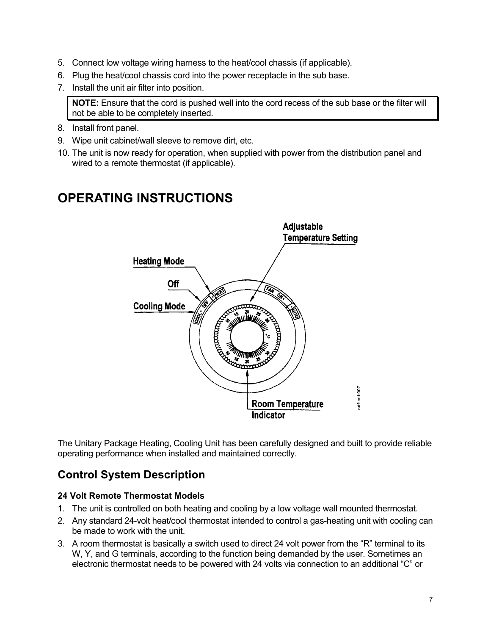- 5. Connect low voltage wiring harness to the heat/cool chassis (if applicable).
- 6. Plug the heat/cool chassis cord into the power receptacle in the sub base.
- 7. Install the unit air filter into position.

**NOTE:** Ensure that the cord is pushed well into the cord recess of the sub base or the filter will not be able to be completely inserted.

- 8. Install front panel.
- 9. Wipe unit cabinet/wall sleeve to remove dirt, etc.
- 10. The unit is now ready for operation, when supplied with power from the distribution panel and wired to a remote thermostat (if applicable).

# **OPERATING INSTRUCTIONS**



The Unitary Package Heating, Cooling Unit has been carefully designed and built to provide reliable operating performance when installed and maintained correctly.

## **Control System Description**

#### **24 Volt Remote Thermostat Models**

- 1. The unit is controlled on both heating and cooling by a low voltage wall mounted thermostat.
- 2. Any standard 24-volt heat/cool thermostat intended to control a gas-heating unit with cooling can be made to work with the unit.
- 3. A room thermostat is basically a switch used to direct 24 volt power from the "R" terminal to its W, Y, and G terminals, according to the function being demanded by the user. Sometimes an electronic thermostat needs to be powered with 24 volts via connection to an additional "C" or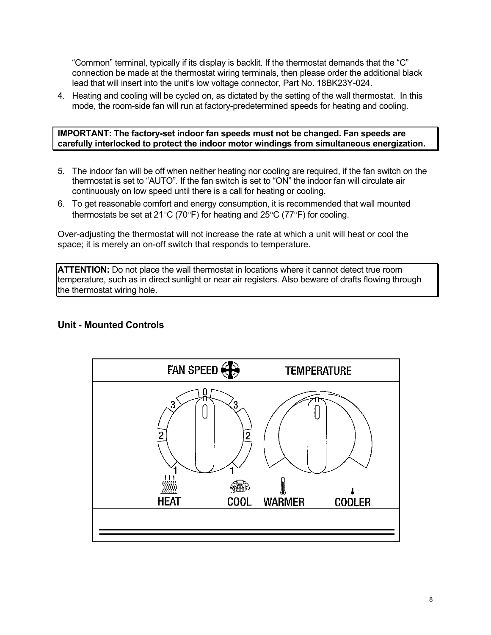"Common" terminal, typically if its display is backlit. If the thermostat demands that the "C" connection be made at the thermostat wiring terminals, then please order the additional black lead that will insert into the unit's low voltage connector, Part No. 18BK23Y-024.

4. Heating and cooling will be cycled on, as dictated by the setting of the wall thermostat. In this mode, the room-side fan will run at factory-predetermined speeds for heating and cooling.

**IMPORTANT: The factory-set indoor fan speeds must not be changed. Fan speeds are carefully interlocked to protect the indoor motor windings from simultaneous energization.** 

- 5. The indoor fan will be off when neither heating nor cooling are required, if the fan switch on the thermostat is set to "AUTO". If the fan switch is set to "ON" the indoor fan will circulate air continuously on low speed until there is a call for heating or cooling.
- 6. To get reasonable comfort and energy consumption, it is recommended that wall mounted thermostats be set at 21°C (70°F) for heating and 25°C (77°F) for cooling.

Over-adjusting the thermostat will not increase the rate at which a unit will heat or cool the space; it is merely an on-off switch that responds to temperature.

**ATTENTION:** Do not place the wall thermostat in locations where it cannot detect true room temperature, such as in direct sunlight or near air registers. Also beware of drafts flowing through the thermostat wiring hole.

#### **Unit - Mounted Controls**

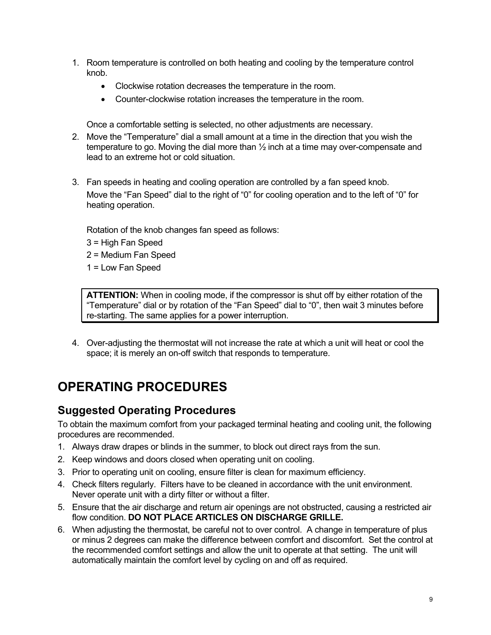- 1. Room temperature is controlled on both heating and cooling by the temperature control knob.
	- Clockwise rotation decreases the temperature in the room.
	- Counter-clockwise rotation increases the temperature in the room.

Once a comfortable setting is selected, no other adjustments are necessary.

- 2. Move the "Temperature" dial a small amount at a time in the direction that you wish the temperature to go. Moving the dial more than ½ inch at a time may over-compensate and lead to an extreme hot or cold situation.
- 3. Fan speeds in heating and cooling operation are controlled by a fan speed knob. Move the "Fan Speed" dial to the right of "0" for cooling operation and to the left of "0" for heating operation.

Rotation of the knob changes fan speed as follows:

- 3 = High Fan Speed
- 2 = Medium Fan Speed
- 1 = Low Fan Speed

**ATTENTION:** When in cooling mode, if the compressor is shut off by either rotation of the "Temperature" dial or by rotation of the "Fan Speed" dial to "0", then wait 3 minutes before re-starting. The same applies for a power interruption.

4. Over-adjusting the thermostat will not increase the rate at which a unit will heat or cool the space; it is merely an on-off switch that responds to temperature.

# **OPERATING PROCEDURES**

### **Suggested Operating Procedures**

To obtain the maximum comfort from your packaged terminal heating and cooling unit, the following procedures are recommended.

- 1. Always draw drapes or blinds in the summer, to block out direct rays from the sun.
- 2. Keep windows and doors closed when operating unit on cooling.
- 3. Prior to operating unit on cooling, ensure filter is clean for maximum efficiency.
- 4. Check filters regularly. Filters have to be cleaned in accordance with the unit environment. Never operate unit with a dirty filter or without a filter.
- 5. Ensure that the air discharge and return air openings are not obstructed, causing a restricted air flow condition. **DO NOT PLACE ARTICLES ON DISCHARGE GRILLE.**
- 6. When adjusting the thermostat, be careful not to over control. A change in temperature of plus or minus 2 degrees can make the difference between comfort and discomfort. Set the control at the recommended comfort settings and allow the unit to operate at that setting. The unit will automatically maintain the comfort level by cycling on and off as required.